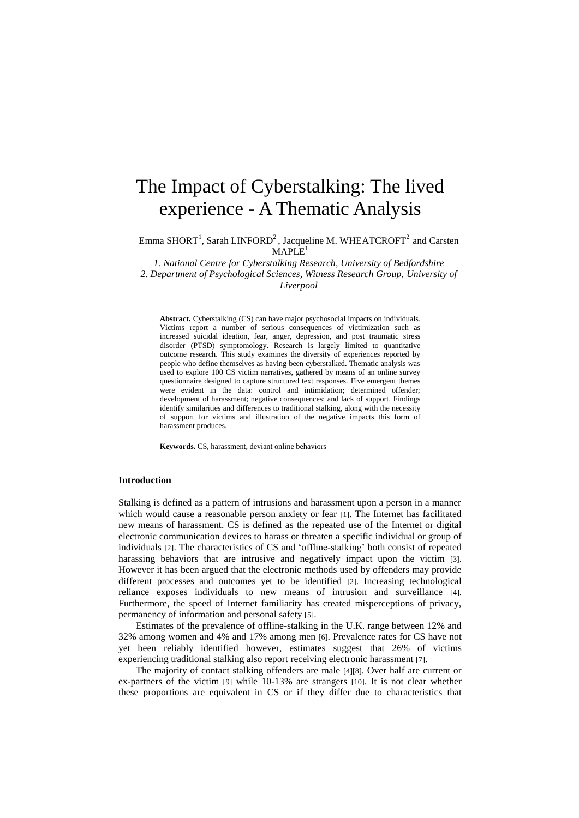# The Impact of Cyberstalking: The lived experience - A Thematic Analysis

Emma SHORT<sup>1</sup>, Sarah LINFORD<sup>2</sup>, Jacqueline M. WHEATCROFT<sup>2</sup> and Carsten  $MAPLE<sup>1</sup>$ 

*1. National Centre for Cyberstalking Research, University of Bedfordshire*

*2. Department of Psychological Sciences, Witness Research Group, University of Liverpool*

**Abstract.** Cyberstalking (CS) can have major psychosocial impacts on individuals. Victims report a number of serious consequences of victimization such as increased suicidal ideation, fear, anger, depression, and post traumatic stress disorder (PTSD) symptomology. Research is largely limited to quantitative outcome research. This study examines the diversity of experiences reported by people who define themselves as having been cyberstalked. Thematic analysis was used to explore 100 CS victim narratives, gathered by means of an online survey questionnaire designed to capture structured text responses. Five emergent themes were evident in the data: control and intimidation; determined offender; development of harassment; negative consequences; and lack of support. Findings identify similarities and differences to traditional stalking, along with the necessity of support for victims and illustration of the negative impacts this form of harassment produces.

**Keywords.** CS, harassment, deviant online behaviors

## **Introduction**

Stalking is defined as a pattern of intrusions and harassment upon a person in a manner which would cause a reasonable person anxiety or fear [1]. The Internet has facilitated new means of harassment. CS is defined as the repeated use of the Internet or digital electronic communication devices to harass or threaten a specific individual or group of individuals [2]. The characteristics of CS and 'offline-stalking' both consist of repeated harassing behaviors that are intrusive and negatively impact upon the victim [3]. However it has been argued that the electronic methods used by offenders may provide different processes and outcomes yet to be identified [2]. Increasing technological reliance exposes individuals to new means of intrusion and surveillance [4]. Furthermore, the speed of Internet familiarity has created misperceptions of privacy, permanency of information and personal safety [5].

Estimates of the prevalence of offline-stalking in the U.K. range between 12% and 32% among women and 4% and 17% among men [6]. Prevalence rates for CS have not yet been reliably identified however, estimates suggest that 26% of victims experiencing traditional stalking also report receiving electronic harassment [7].

The majority of contact stalking offenders are male [4][8]. Over half are current or ex-partners of the victim [9] while 10-13% are strangers [10]. It is not clear whether these proportions are equivalent in CS or if they differ due to characteristics that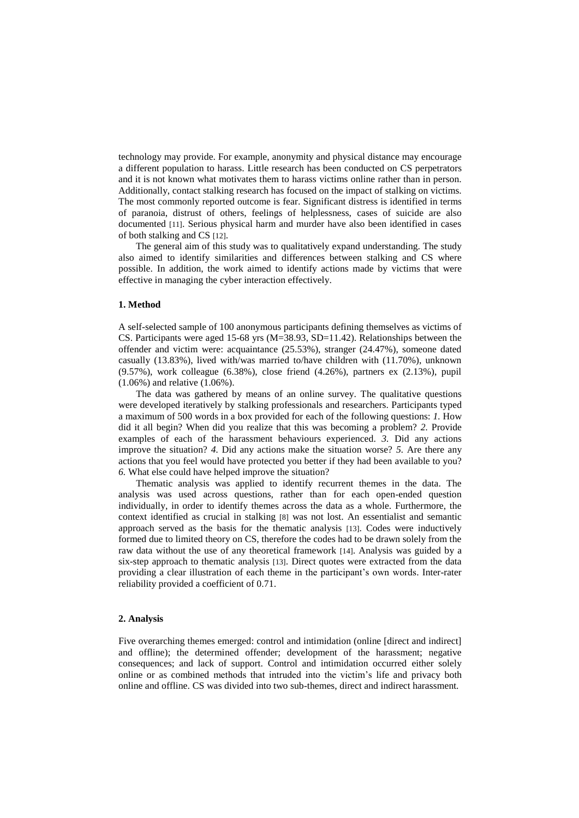technology may provide. For example, anonymity and physical distance may encourage a different population to harass. Little research has been conducted on CS perpetrators and it is not known what motivates them to harass victims online rather than in person. Additionally, contact stalking research has focused on the impact of stalking on victims. The most commonly reported outcome is fear. Significant distress is identified in terms of paranoia, distrust of others, feelings of helplessness, cases of suicide are also documented [11]. Serious physical harm and murder have also been identified in cases of both stalking and CS [12].

The general aim of this study was to qualitatively expand understanding. The study also aimed to identify similarities and differences between stalking and CS where possible. In addition, the work aimed to identify actions made by victims that were effective in managing the cyber interaction effectively.

## **1. Method**

A self-selected sample of 100 anonymous participants defining themselves as victims of CS. Participants were aged 15-68 yrs  $(M=38.93, SD=11.42)$ . Relationships between the offender and victim were: acquaintance (25.53%), stranger (24.47%), someone dated casually (13.83%), lived with/was married to/have children with (11.70%), unknown (9.57%), work colleague (6.38%), close friend (4.26%), partners ex (2.13%), pupil (1.06%) and relative (1.06%).

The data was gathered by means of an online survey. The qualitative questions were developed iteratively by stalking professionals and researchers. Participants typed a maximum of 500 words in a box provided for each of the following questions: *1.* How did it all begin? When did you realize that this was becoming a problem? *2.* Provide examples of each of the harassment behaviours experienced. *3.* Did any actions improve the situation? *4.* Did any actions make the situation worse? *5.* Are there any actions that you feel would have protected you better if they had been available to you? *6.* What else could have helped improve the situation?

Thematic analysis was applied to identify recurrent themes in the data. The analysis was used across questions, rather than for each open-ended question individually, in order to identify themes across the data as a whole. Furthermore, the context identified as crucial in stalking [8] was not lost. An essentialist and semantic approach served as the basis for the thematic analysis [13]. Codes were inductively formed due to limited theory on CS, therefore the codes had to be drawn solely from the raw data without the use of any theoretical framework [14]. Analysis was guided by a six-step approach to thematic analysis [13]. Direct quotes were extracted from the data providing a clear illustration of each theme in the participant's own words. Inter-rater reliability provided a coefficient of 0.71.

#### **2. Analysis**

Five overarching themes emerged: control and intimidation (online [direct and indirect] and offline); the determined offender; development of the harassment; negative consequences; and lack of support. Control and intimidation occurred either solely online or as combined methods that intruded into the victim's life and privacy both online and offline. CS was divided into two sub-themes, direct and indirect harassment.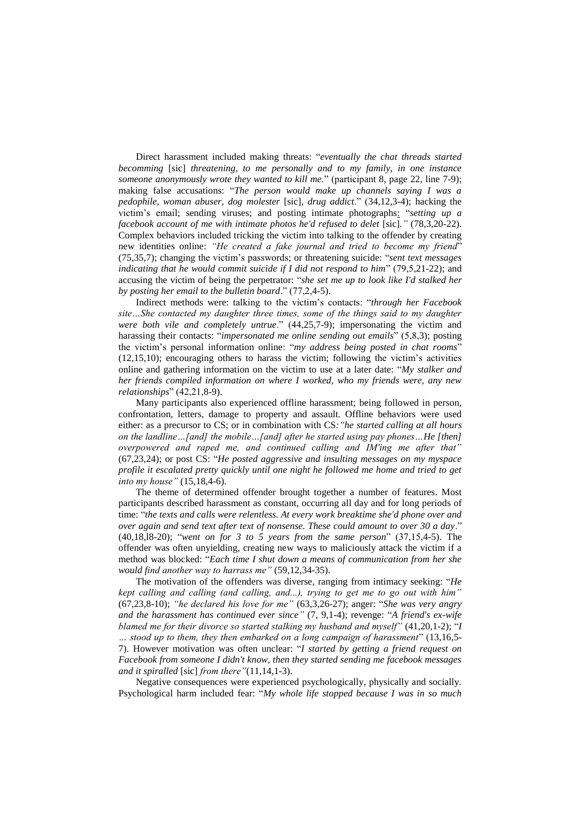Direct harassment included making threats: "*eventually the chat threads started becomming* [sic] *threatening, to me personally and to my family, in one instance someone anonymously wrote they wanted to kill me.*" (participant 8, page 22, line 7-9); making false accusations: "*The person would make up channels saying I was a pedophile, woman abuser, dog molester* [sic]*, drug addict*." (34,12,3-4); hacking the victim's email; sending viruses; and posting intimate photographs: "*setting up a facebook account of me with intimate photos he'd refused to delet [sic]." (78,3,20-22).* Complex behaviors included tricking the victim into talking to the offender by creating new identities online: *"He created a fake journal and tried to become my friend*" (75,35,7); changing the victim's passwords; or threatening suicide: "*sent text messages indicating that he would commit suicide if I did not respond to him*" (79,5,21-22); and accusing the victim of being the perpetrator: "*she set me up to look like I'd stalked her by posting her email to the bulletin board*." (77,2,4-5).

Indirect methods were: talking to the victim's contacts: "*through her Facebook site…She contacted my daughter three times, some of the things said to my daughter were both vile and completely untrue*." (44,25,7-9); impersonating the victim and harassing their contacts: "*impersonated me online sending out emails*" (5,8,3); posting the victim's personal information online: "*my address being posted in chat rooms*" (12,15,10); encouraging others to harass the victim; following the victim's activities online and gathering information on the victim to use at a later date: "*My stalker and her friends compiled information on where I worked, who my friends were, any new relationships*" (42,21,8-9).

Many participants also experienced offline harassment; being followed in person, confrontation, letters, damage to property and assault. Offline behaviors were used either: as a precursor to CS; or in combination with CS*:"he started calling at all hours on the landline…[and] the mobile…[and] after he started using pay phones…He [then] overpowered and raped me, and continued calling and IM'ing me after that"* (67,23,24); or post CS: "*He posted aggressive and insulting messages on my myspace profile it escalated pretty quickly until one night he followed me home and tried to get into my house"* (15,18,4-6).

The theme of determined offender brought together a number of features. Most participants described harassment as constant, occurring all day and for long periods of time: "*the texts and calls were relentless. At every work breaktime she'd phone over and over again and send text after text of nonsense. These could amount to over 30 a day*." (40,18,l8-20); "*went on for 3 to 5 years from the same person*" (37,15,4-5). The offender was often unyielding, creating new ways to maliciously attack the victim if a method was blocked: "*Each time I shut down a means of communication from her she would find another way to harrass me"* (59,12,34-35).

The motivation of the offenders was diverse, ranging from intimacy seeking: "*He kept calling and calling (and calling, and...), trying to get me to go out with him"* (67,23,8-10); *"he declared his love for me"* (63,3,26-27); anger: "*She was very angry and the harassment has continued ever since"* (7, 9,1-4); revenge: "*A friend's ex-wife blamed me for their divorce so started stalking my husband and myself"* (41,20,1-2); "*I … stood up to them, they then embarked on a long campaign of harassment*" (13,16,5- 7). However motivation was often unclear: "*I started by getting a friend request on Facebook from someone I didn't know, then they started sending me facebook messages and it spiralled* [sic] *from there"*(11,14,1-3).

Negative consequences were experienced psychologically, physically and socially. Psychological harm included fear: "*My whole life stopped because I was in so much*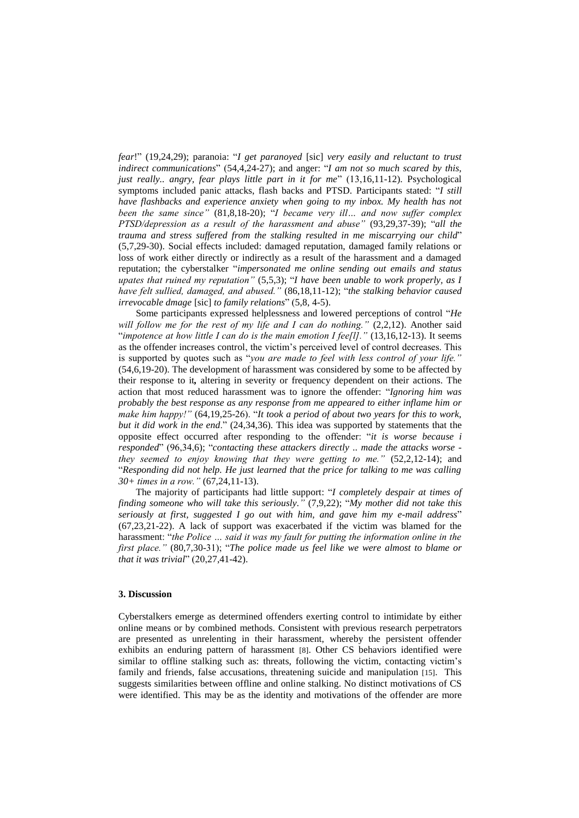*fear*!" (19,24,29); paranoia: "*I get paranoyed* [sic] *very easily and reluctant to trust indirect communications*" (54,4,24-27); and anger: "*I am not so much scared by this, just really.. angry, fear plays little part in it for me*" (13,16,11-12). Psychological symptoms included panic attacks, flash backs and PTSD. Participants stated: "*I still have flashbacks and experience anxiety when going to my inbox. My health has not been the same since"* (81,8,18-20); "*I became very ill… and now suffer complex PTSD/depression as a result of the harassment and abuse"* (93,29,37-39); "*all the trauma and stress suffered from the stalking resulted in me miscarrying our child*" (5,7,29-30). Social effects included: damaged reputation, damaged family relations or loss of work either directly or indirectly as a result of the harassment and a damaged reputation; the cyberstalker "*impersonated me online sending out emails and status upates that ruined my reputation"* (5,5,3); "*I have been unable to work properly, as I have felt sullied, damaged, and abused."* (86,18,11-12); "*the stalking behavior caused irrevocable dmage* [sic] *to family relations*" (5,8, 4-5).

Some participants expressed helplessness and lowered perceptions of control "*He will follow me for the rest of my life and I can do nothing."* (2,2,12). Another said "*impotence at how little I can do is the main emotion I fee[l]."* (13,16,12-13). It seems as the offender increases control, the victim's perceived level of control decreases. This is supported by quotes such as "*you are made to feel with less control of your life."*  (54,6,19-20). The development of harassment was considered by some to be affected by their response to it*,* altering in severity or frequency dependent on their actions. The action that most reduced harassment was to ignore the offender: "*Ignoring him was probably the best response as any response from me appeared to either inflame him or make him happy!"* (64,19,25-26). "*It took a period of about two years for this to work, but it did work in the end*." (24,34,36). This idea was supported by statements that the opposite effect occurred after responding to the offender: "*it is worse because i responded*" (96,34,6); "*contacting these attackers directly .. made the attacks worse they seemed to enjoy knowing that they were getting to me."* (52,2,12-14); and "*Responding did not help. He just learned that the price for talking to me was calling 30+ times in a row."* (67,24,11-13).

The majority of participants had little support: "*I completely despair at times of finding someone who will take this seriously."* (7,9,22); "*My mother did not take this seriously at first, suggested I go out with him, and gave him my e-mail address*" (67,23,21-22). A lack of support was exacerbated if the victim was blamed for the harassment: "*the Police … said it was my fault for putting the information online in the first place."* (80,7,30-31); "*The police made us feel like we were almost to blame or that it was trivial*" (20,27,41-42).

# **3. Discussion**

Cyberstalkers emerge as determined offenders exerting control to intimidate by either online means or by combined methods. Consistent with previous research perpetrators are presented as unrelenting in their harassment, whereby the persistent offender exhibits an enduring pattern of harassment [8]. Other CS behaviors identified were similar to offline stalking such as: threats, following the victim, contacting victim's family and friends, false accusations, threatening suicide and manipulation [15]. This suggests similarities between offline and online stalking. No distinct motivations of CS were identified. This may be as the identity and motivations of the offender are more